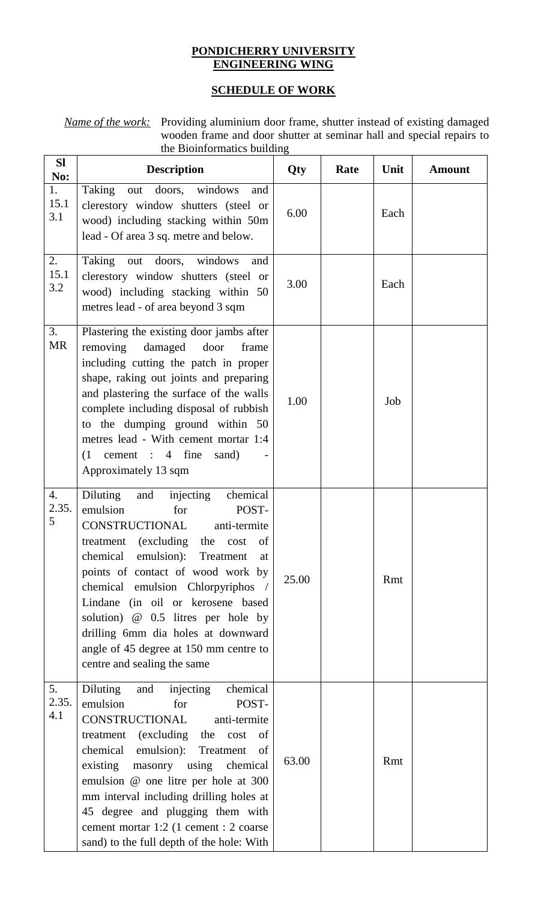## **PONDICHERRY UNIVERSITY ENGINEERING WING**

## **SCHEDULE OF WORK**

*Name of the work:* Providing aluminium door frame, shutter instead of existing damaged wooden frame and door shutter at seminar hall and special repairs to the Bioinformatics building

| <b>SI</b><br>No:   | <b>Description</b>                                                                                                                                                                                                                                                                                                                                                                                                                                        | Qty   | Rate | Unit | <b>Amount</b> |
|--------------------|-----------------------------------------------------------------------------------------------------------------------------------------------------------------------------------------------------------------------------------------------------------------------------------------------------------------------------------------------------------------------------------------------------------------------------------------------------------|-------|------|------|---------------|
| 1.<br>15.1<br>3.1  | Taking out doors, windows<br>and<br>clerestory window shutters (steel or<br>wood) including stacking within 50m<br>lead - Of area 3 sq. metre and below.                                                                                                                                                                                                                                                                                                  | 6.00  |      | Each |               |
| 2.<br>15.1<br>3.2  | Taking out doors, windows<br>and<br>clerestory window shutters (steel or<br>wood) including stacking within 50<br>metres lead - of area beyond 3 sqm                                                                                                                                                                                                                                                                                                      | 3.00  |      | Each |               |
| 3.<br><b>MR</b>    | Plastering the existing door jambs after<br>removing<br>damaged door<br>frame<br>including cutting the patch in proper<br>shape, raking out joints and preparing<br>and plastering the surface of the walls<br>complete including disposal of rubbish<br>to the dumping ground within 50<br>metres lead - With cement mortar 1:4<br>$(1$ cement : 4 fine<br>sand)<br>Approximately 13 sqm                                                                 | 1.00  |      | Job  |               |
| 4.<br>2.35.<br>5   | injecting<br>Diluting<br>chemical<br>and<br>emulsion<br>for<br>POST-<br>CONSTRUCTIONAL<br>anti-termite<br>treatment (excluding the<br>cost of<br>chemical<br>emulsion): Treatment<br>at<br>points of contact of wood work by<br>chemical emulsion Chlorpyriphos<br>Lindane (in oil or kerosene based<br>solution) @ 0.5 litres per hole by<br>drilling 6mm dia holes at downward<br>angle of 45 degree at 150 mm centre to<br>centre and sealing the same | 25.00 |      | Rmt  |               |
| 5.<br>2.35.<br>4.1 | chemical<br>Diluting<br>injecting<br>and<br>emulsion<br>POST-<br>for<br>CONSTRUCTIONAL<br>anti-termite<br>treatment (excluding the<br>cost<br>of<br>chemical emulsion): Treatment<br>of<br>existing masonry using chemical<br>emulsion @ one litre per hole at 300<br>mm interval including drilling holes at<br>45 degree and plugging them with<br>cement mortar 1:2 (1 cement : 2 coarse<br>sand) to the full depth of the hole: With                  | 63.00 |      | Rmt  |               |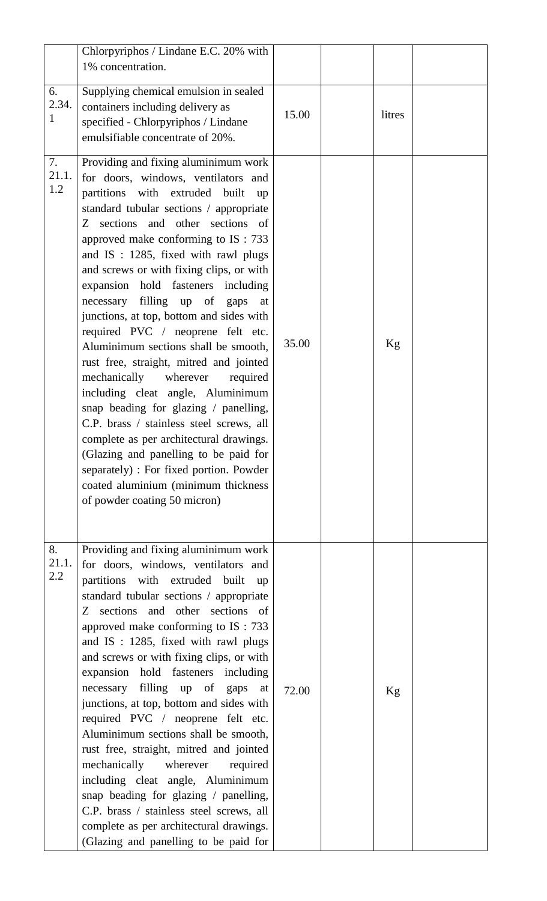|                    | Chlorpyriphos / Lindane E.C. 20% with<br>1% concentration.                                                                                                                                                                                                                                                                                                                                                                                                                                                                                                                                                                                                                                                                                                                                                                                                                                                                                          |       |        |  |
|--------------------|-----------------------------------------------------------------------------------------------------------------------------------------------------------------------------------------------------------------------------------------------------------------------------------------------------------------------------------------------------------------------------------------------------------------------------------------------------------------------------------------------------------------------------------------------------------------------------------------------------------------------------------------------------------------------------------------------------------------------------------------------------------------------------------------------------------------------------------------------------------------------------------------------------------------------------------------------------|-------|--------|--|
| 6.<br>2.34.<br>1   | Supplying chemical emulsion in sealed<br>containers including delivery as<br>specified - Chlorpyriphos / Lindane<br>emulsifiable concentrate of 20%.                                                                                                                                                                                                                                                                                                                                                                                                                                                                                                                                                                                                                                                                                                                                                                                                | 15.00 | litres |  |
| 7.<br>21.1.<br>1.2 | Providing and fixing aluminimum work<br>for doors, windows, ventilators and<br>partitions with extruded built up<br>standard tubular sections / appropriate<br>Z sections and other sections of<br>approved make conforming to IS : 733<br>and IS : 1285, fixed with rawl plugs<br>and screws or with fixing clips, or with<br>expansion hold fasteners including<br>necessary filling up of gaps<br>at<br>junctions, at top, bottom and sides with<br>required PVC / neoprene felt etc.<br>Aluminimum sections shall be smooth,<br>rust free, straight, mitred and jointed<br>mechanically<br>wherever<br>required<br>including cleat angle, Aluminimum<br>snap beading for glazing / panelling,<br>C.P. brass / stainless steel screws, all<br>complete as per architectural drawings.<br>(Glazing and panelling to be paid for<br>separately) : For fixed portion. Powder<br>coated aluminium (minimum thickness<br>of powder coating 50 micron) | 35.00 | Kg     |  |
| 8.<br>21.1.<br>2.2 | Providing and fixing aluminimum work<br>for doors, windows, ventilators and<br>partitions with extruded built<br>$\mathbf{u}$<br>standard tubular sections / appropriate<br>Z sections and other sections of<br>approved make conforming to IS : 733<br>and IS : 1285, fixed with rawl plugs<br>and screws or with fixing clips, or with<br>expansion hold fasteners including<br>necessary filling up of gaps<br>at<br>junctions, at top, bottom and sides with<br>required PVC / neoprene felt etc.<br>Aluminimum sections shall be smooth,<br>rust free, straight, mitred and jointed<br>mechanically<br>wherever<br>required<br>including cleat angle, Aluminimum<br>snap beading for glazing / panelling,<br>C.P. brass / stainless steel screws, all<br>complete as per architectural drawings.<br>(Glazing and panelling to be paid for                                                                                                      | 72.00 | Kg     |  |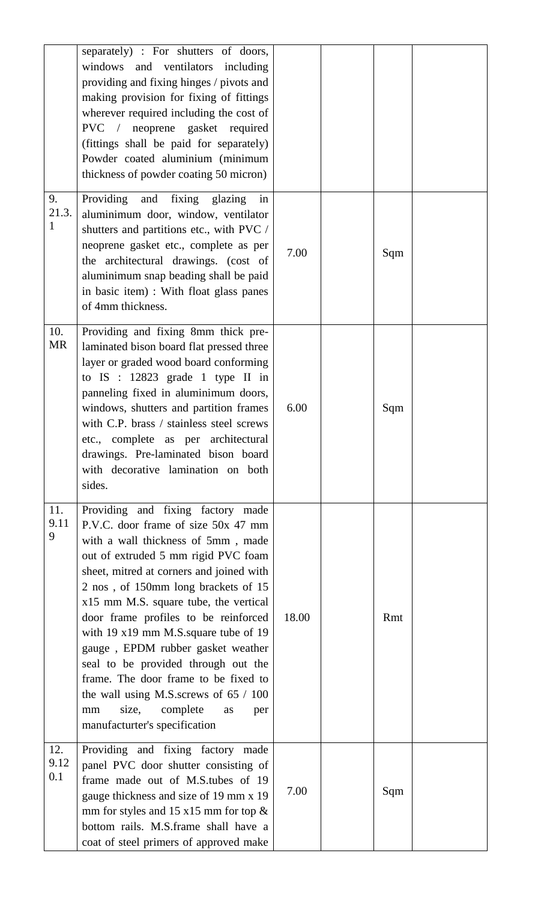|                    | separately) : For shutters of doors,<br>windows and ventilators including<br>providing and fixing hinges / pivots and<br>making provision for fixing of fittings<br>wherever required including the cost of<br>PVC / neoprene gasket required<br>(fittings shall be paid for separately)<br>Powder coated aluminium (minimum<br>thickness of powder coating 50 micron)                                                                                                                                                                                                                                              |       |     |  |
|--------------------|---------------------------------------------------------------------------------------------------------------------------------------------------------------------------------------------------------------------------------------------------------------------------------------------------------------------------------------------------------------------------------------------------------------------------------------------------------------------------------------------------------------------------------------------------------------------------------------------------------------------|-------|-----|--|
| 9.<br>21.3.<br>1   | Providing<br>and fixing glazing<br>in<br>aluminimum door, window, ventilator<br>shutters and partitions etc., with PVC /<br>neoprene gasket etc., complete as per<br>the architectural drawings. (cost of<br>aluminimum snap beading shall be paid<br>in basic item) : With float glass panes<br>of 4mm thickness.                                                                                                                                                                                                                                                                                                  | 7.00  | Sqm |  |
| 10.<br>MR          | Providing and fixing 8mm thick pre-<br>laminated bison board flat pressed three<br>layer or graded wood board conforming<br>to $IS : 12823$ grade 1 type II in<br>panneling fixed in aluminimum doors,<br>windows, shutters and partition frames<br>with C.P. brass / stainless steel screws<br>etc., complete as per architectural<br>drawings. Pre-laminated bison board<br>with decorative lamination on both<br>sides.                                                                                                                                                                                          | 6.00  | Sqm |  |
| 11.<br>9.11<br>9   | Providing and fixing factory made<br>P.V.C. door frame of size 50x 47 mm<br>with a wall thickness of 5mm, made<br>out of extruded 5 mm rigid PVC foam<br>sheet, mitred at corners and joined with<br>2 nos, of 150mm long brackets of 15<br>x15 mm M.S. square tube, the vertical<br>door frame profiles to be reinforced<br>with $19 \times 19$ mm M.S. square tube of 19<br>gauge, EPDM rubber gasket weather<br>seal to be provided through out the<br>frame. The door frame to be fixed to<br>the wall using M.S. screws of $65 / 100$<br>complete<br>size,<br>mm<br>as<br>per<br>manufacturter's specification | 18.00 | Rmt |  |
| 12.<br>9.12<br>0.1 | Providing and fixing factory made<br>panel PVC door shutter consisting of<br>frame made out of M.S.tubes of 19<br>gauge thickness and size of 19 mm x 19<br>mm for styles and 15 $x15$ mm for top $\&$<br>bottom rails. M.S.frame shall have a<br>coat of steel primers of approved make                                                                                                                                                                                                                                                                                                                            | 7.00  | Sqm |  |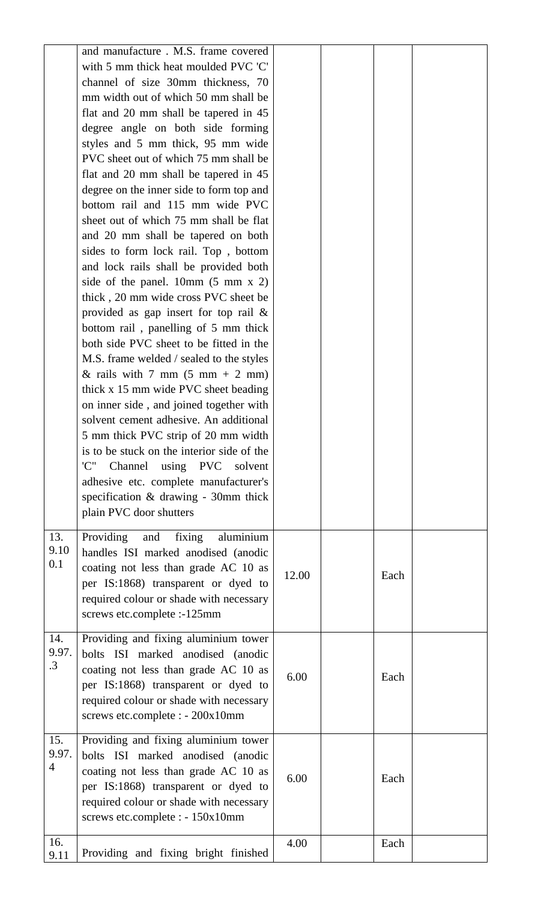|                           | and manufacture . M.S. frame covered<br>with 5 mm thick heat moulded PVC 'C'<br>channel of size 30mm thickness, 70<br>mm width out of which 50 mm shall be<br>flat and 20 mm shall be tapered in 45<br>degree angle on both side forming<br>styles and 5 mm thick, 95 mm wide<br>PVC sheet out of which 75 mm shall be<br>flat and 20 mm shall be tapered in 45<br>degree on the inner side to form top and<br>bottom rail and 115 mm wide PVC<br>sheet out of which 75 mm shall be flat<br>and 20 mm shall be tapered on both<br>sides to form lock rail. Top, bottom<br>and lock rails shall be provided both<br>side of the panel. 10mm $(5 \text{ mm } x \text{ 2})$<br>thick, 20 mm wide cross PVC sheet be<br>provided as gap insert for top rail $\&$<br>bottom rail, panelling of 5 mm thick<br>both side PVC sheet to be fitted in the<br>M.S. frame welded / sealed to the styles<br>& rails with 7 mm $(5 \text{ mm} + 2 \text{ mm})$<br>thick x 15 mm wide PVC sheet beading<br>on inner side, and joined together with<br>solvent cement adhesive. An additional<br>5 mm thick PVC strip of 20 mm width<br>is to be stuck on the interior side of the<br>'C''<br>Channel using PVC solvent<br>adhesive etc. complete manufacturer's<br>specification & drawing - 30mm thick |       |      |  |
|---------------------------|------------------------------------------------------------------------------------------------------------------------------------------------------------------------------------------------------------------------------------------------------------------------------------------------------------------------------------------------------------------------------------------------------------------------------------------------------------------------------------------------------------------------------------------------------------------------------------------------------------------------------------------------------------------------------------------------------------------------------------------------------------------------------------------------------------------------------------------------------------------------------------------------------------------------------------------------------------------------------------------------------------------------------------------------------------------------------------------------------------------------------------------------------------------------------------------------------------------------------------------------------------------------------------------|-------|------|--|
| 13.<br>9.10<br>0.1        | plain PVC door shutters<br>Providing<br>fixing<br>aluminium<br>and<br>handles ISI marked anodised (anodic<br>coating not less than grade AC 10 as<br>per IS:1868) transparent or dyed to<br>required colour or shade with necessary<br>screws etc.complete :-125mm                                                                                                                                                                                                                                                                                                                                                                                                                                                                                                                                                                                                                                                                                                                                                                                                                                                                                                                                                                                                                       | 12.00 | Each |  |
| 14.<br>9.97.<br>$\cdot$ 3 | Providing and fixing aluminium tower<br>bolts ISI marked anodised (anodic<br>coating not less than grade AC 10 as<br>per IS:1868) transparent or dyed to<br>required colour or shade with necessary<br>screws etc.complete : - 200x10mm                                                                                                                                                                                                                                                                                                                                                                                                                                                                                                                                                                                                                                                                                                                                                                                                                                                                                                                                                                                                                                                  | 6.00  | Each |  |
| 15.<br>9.97.<br>4         | Providing and fixing aluminium tower<br>bolts ISI marked anodised (anodic<br>coating not less than grade AC 10 as<br>per IS:1868) transparent or dyed to<br>required colour or shade with necessary<br>screws etc.complete : - 150x10mm                                                                                                                                                                                                                                                                                                                                                                                                                                                                                                                                                                                                                                                                                                                                                                                                                                                                                                                                                                                                                                                  | 6.00  | Each |  |
| 16.<br>9.11               | Providing and fixing bright finished                                                                                                                                                                                                                                                                                                                                                                                                                                                                                                                                                                                                                                                                                                                                                                                                                                                                                                                                                                                                                                                                                                                                                                                                                                                     | 4.00  | Each |  |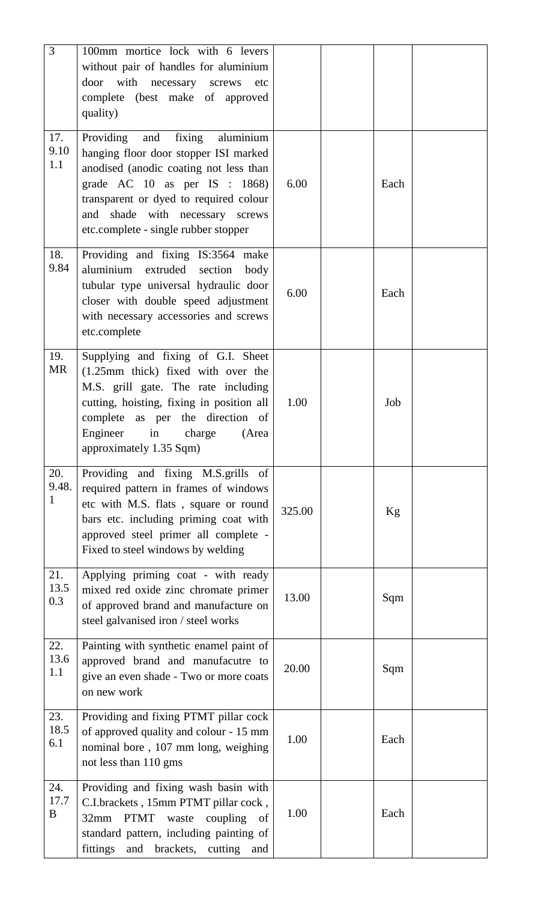| $\mathfrak{Z}$     | 100mm mortice lock with 6 levers<br>without pair of handles for aluminium<br>door with necessary screws<br>etc<br>complete (best make of approved<br>quality)                                                                                                                         |        |      |  |
|--------------------|---------------------------------------------------------------------------------------------------------------------------------------------------------------------------------------------------------------------------------------------------------------------------------------|--------|------|--|
| 17.<br>9.10<br>1.1 | fixing<br>Providing<br>and<br>aluminium<br>hanging floor door stopper ISI marked<br>anodised (anodic coating not less than<br>grade AC $10$ as per IS : $1868$ )<br>transparent or dyed to required colour<br>and shade with necessary screws<br>etc.complete - single rubber stopper | 6.00   | Each |  |
| 18.<br>9.84        | Providing and fixing IS:3564 make<br>aluminium extruded section<br>body<br>tubular type universal hydraulic door<br>closer with double speed adjustment<br>with necessary accessories and screws<br>etc.complete                                                                      | 6.00   | Each |  |
| 19.<br><b>MR</b>   | Supplying and fixing of G.I. Sheet<br>(1.25mm thick) fixed with over the<br>M.S. grill gate. The rate including<br>cutting, hoisting, fixing in position all<br>complete as per the direction of<br>Engineer<br>in<br>charge<br>(Area<br>approximately 1.35 Sqm)                      | 1.00   | Job  |  |
| 20.<br>9.48.<br>1  | Providing and fixing M.S.grills of<br>required pattern in frames of windows<br>etc with M.S. flats, square or round<br>bars etc. including priming coat with<br>approved steel primer all complete -<br>Fixed to steel windows by welding                                             | 325.00 | Kg   |  |
| 21.<br>13.5<br>0.3 | Applying priming coat - with ready<br>mixed red oxide zinc chromate primer<br>of approved brand and manufacture on<br>steel galvanised iron / steel works                                                                                                                             | 13.00  | Sqm  |  |
| 22.<br>13.6<br>1.1 | Painting with synthetic enamel paint of<br>approved brand and manufacutre to<br>give an even shade - Two or more coats<br>on new work                                                                                                                                                 | 20.00  | Sqm  |  |
| 23.<br>18.5<br>6.1 | Providing and fixing PTMT pillar cock<br>of approved quality and colour - 15 mm<br>nominal bore, 107 mm long, weighing<br>not less than 110 gms                                                                                                                                       | 1.00   | Each |  |
| 24.<br>17.7<br>B   | Providing and fixing wash basin with<br>C.I.brackets, 15mm PTMT pillar cock,<br>32mm PTMT<br>waste<br>coupling<br>of<br>standard pattern, including painting of<br>fittings<br>and<br>brackets,<br>cutting<br>and                                                                     | 1.00   | Each |  |